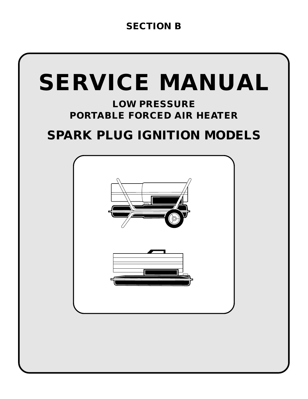# **SECTION B**

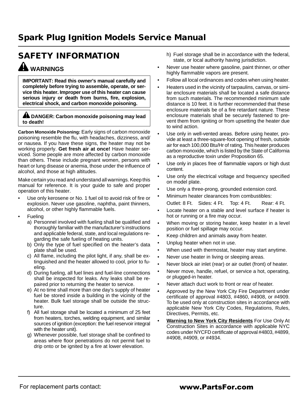# **SAFETY INFORMATION WARNINGS**

**IMPORTANT: Read this owner's manual carefully and completely before trying to assemble, operate, or service this heater. Improper use of this heater can cause serious injury or death from burns, fire, explosion, electrical shock, and carbon monoxide poisoning.**

#### **A DANGER: Carbon monoxide poisoning may lead to death!**

**Carbon Monoxide Poisoning:** Early signs of carbon monoxide poisoning resemble the flu, with headaches, dizziness, and/ or nausea. If you have these signs, the heater may not be working properly. **Get fresh air at once!** Have heater serviced. Some people are more affected by carbon monoxide than others. These include pregnant women, persons with heart or lung disease or anemia, those under the influence of alcohol, and those at high altitudes.

Make certain you read and understand all warnings. Keep this manual for reference. It is your guide to safe and proper operation of this heater.

- Use only kerosene or No. 1 fuel oil to avoid risk of fire or explosion. Never use gasoline, naphtha, paint thinners, alcohol, or other highly flammable fuels.
- **Fueling** 
	- a) Personnel involved with fueling shall be qualified and thoroughly familiar with the manufacturer's instructions and applicable federal, state, and local regulations regarding the safe fueling of heating units.
	- b) Only the type of fuel specified on the heater's data plate shall be used.
	- c) All flame, including the pilot light, if any, shall be extinguished and the heater allowed to cool, prior to fueling.
	- d) During fueling, all fuel lines and fuel-line connections shall be inspected for leaks. Any leaks shall be repaired prior to returning the heater to service.
	- e) At no time shall more than one day's supply of heater fuel be stored inside a building in the vicinity of the heater. Bulk fuel storage shall be outside the structure.
	- f) All fuel storage shall be located a minimum of 25 feet from heaters, torches, welding equipment, and similar sources of ignition (exception: the fuel reservoir integral with the heater unit).
	- g) Whenever possible, fuel storage shall be confined to areas where floor penetrations do not permit fuel to drip onto or be ignited by a fire at lower elevation.
- h) Fuel storage shall be in accordance with the federal, state, or local authority having jurisdiction.
- Never use heater where gasoline, paint thinner, or other highly flammable vapors are present.
- Follow all local ordinances and codes when using heater.
- Heaters used in the vicinity of tarpaulins, canvas, or similar enclosure materials shall be located a safe distance from such materials. The recommended minimum safe distance is 10 feet. It is further recommended that these enclosure materials be of a fire retardant nature. These enclosure materials shall be securely fastened to prevent them from igniting or from upsetting the heater due to wind action.
- Use only in well-vented areas. Before using heater, provide at least a three-square-foot opening of fresh, outside air for each 100,000 Btu/Hr of rating. This heater produces carbon monoxide, which is listed by the State of California as a reproductive toxin under Proposition 65.
- Use only in places free of flammable vapors or high dust content.
- Use only the electrical voltage and frequency specified on model plate.
- Use only a three-prong, grounded extension cord.
- Minimum heater clearances from combustibles: Outlet: 8 Ft. Sides: 4 Ft. Top: 4 Ft. Rear: 4 Ft.
- Locate heater on a stable and level surface if heater is hot or running or a fire may occur.
- When moving or storing heater, keep heater in a level position or fuel spillage may occur.
- Keep children and animals away from heater.
- Unplug heater when not in use.
- When used with thermostat, heater may start anytime.
- Never use heater in living or sleeping areas.
- Never block air inlet (rear) or air outlet (front) of heater.
- Never move, handle, refuel, or service a hot, operating, or plugged-in heater.
- Never attach duct work to front or rear of heater.
- Approved by the New York City Fire Department under certificate of approval #4803, #4860, #4908, or #4909. To be used only at construction sites in accordance with applicable New York City Codes, Regulations, Rules, Directives, Permits, etc.
- **Warning to New York City Residents** For Use Only At Construction Sites in accordance with applicable NYC codes under NYCFD certificate of approval #4803, #4899, #4908, #4909, or #4934.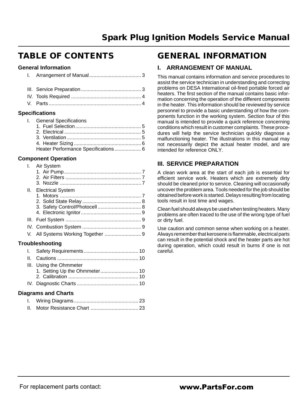# **TABLE OF CONTENTS**

### **General Information**

### **Specifications**

| I. General Specifications |                                     |
|---------------------------|-------------------------------------|
|                           |                                     |
|                           |                                     |
|                           |                                     |
|                           |                                     |
|                           |                                     |
|                           | Heater Performance Specifications 6 |

### **Component Operation**

| I. Air System              |     |
|----------------------------|-----|
|                            |     |
|                            |     |
|                            |     |
| II. Electrical System      |     |
|                            |     |
|                            |     |
|                            |     |
|                            |     |
|                            |     |
|                            |     |
|                            |     |
| Troubleshooting            |     |
| <b>Safaty Pequirements</b> | 1 ∩ |

|  | III. Using the Ohmmeter |  |
|--|-------------------------|--|
|  |                         |  |
|  |                         |  |
|  |                         |  |

### **Diagrams and Charts**

# **GENERAL INFORMATION**

### **I. ARRANGEMENT OF MANUAL**

This manual contains information and service procedures to assist the service technician in understanding and correcting problems on DESA International oil-fired portable forced air heaters. The first section of the manual contains basic information concerning the operation of the different components in the heater. This information should be reviewed by service personnel to provide a basic understanding of how the components function in the working system. Section four of this manual is intended to provide a quick reference concerning conditions which result in customer complaints. These procedures will help the service technician quickly diagnose a malfunctioning heater. The illustrations in this manual may not necessarily depict the actual heater model, and are intended for reference ONLY.

# **III. SERVICE PREPARATION**

A clean work area at the start of each job is essential for efficient service work. Heaters which are extremely dirty should be cleaned prior to service. Cleaning will occasionally uncover the problem area. Tools needed for the job should be obtained before work is started. Delays resulting from locating tools result in lost time and wages.

Clean fuel should always be used when testing heaters. Many problems are often traced to the use of the wrong type of fuel or dirty fuel.

Use caution and common sense when working on a heater. Always remember that kerosene is flammable, electrical parts can result in the potential shock and the heater parts are hot during operation, which could result in burns if one is not careful.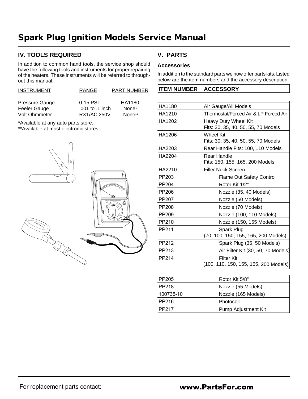# **IV. TOOLS REQUIRED**

In addition to common hand tools, the service shop should have the following tools and instruments for proper repairing of the heaters. These instruments will be referred to throughout this manual.

| <b>INSTRUMENT</b>    | <b>RANGE</b>       | <b>PART NUMBER</b> |
|----------------------|--------------------|--------------------|
|                      |                    |                    |
| Pressure Gauge       | $0-15$ PSI         | HA1180             |
| Feeler Gauge         | .001 to .1 inch    | None*              |
| <b>Volt Ohmmeter</b> | <b>RX1/AC 250V</b> | None**             |

\*Available at any auto parts store.

\*\*Available at most electronic stores.



# **V. PARTS**

### **Accessories**

In addition to the standard parts we now offer parts kits. Listed below are the item numbers and the accessory description

| HA1180 | Air Gauge/All Models                                               |
|--------|--------------------------------------------------------------------|
| HA1210 | Thermostat/Forced Air & LP Forced Air                              |
| HA1202 | <b>Heavy Duty Wheel Kit</b><br>Fits: 30, 35, 40, 50, 55, 70 Models |
| HA1206 | Wheel Kit<br>Fits: 30, 35, 40, 50, 55, 70 Models                   |
| HA2203 | Rear Handle Fits: 100, 110 Models                                  |
| HA2204 | Rear Handle<br>Fits: 150, 155, 165, 200 Models                     |
| HA2210 | <b>Filler Neck Screen</b>                                          |
| PP203  | <b>Flame Out Safety Control</b>                                    |
| PP204  | Rotor Kit 1/2"                                                     |
| PP206  | Nozzle (35, 40 Models)                                             |
| PP207  | Nozzle (50 Models)                                                 |
| PP208  | Nozzle (70 Models)                                                 |
| PP209  | Nozzle (100, 110 Models)                                           |
| PP210  | Nozzle (150, 155 Models)                                           |
| PP211  | Spark Plug<br>(70, 100, 150, 155, 165, 200 Models)                 |
| PP212  | Spark Plug (35, 50 Models)                                         |
| PP213  | Air Filter Kit (30, 50, 70 Models)                                 |
| PP214  | Filter Kit<br>(100, 110, 150, 155, 165, 200 Models)                |
|        |                                                                    |

| PP205     | Rotor Kit 5/8"      |
|-----------|---------------------|
| PP218     | Nozzle (55 Models)  |
| 100735-10 | Nozzle (165 Models) |
| PP216     | Photocell           |
| PP217     | Pump Adjustment Kit |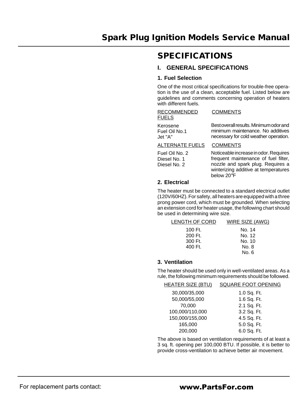# **SPECIFICATIONS**

# **I. GENERAL SPECIFICATIONS**

### **1. Fuel Selection**

One of the most critical specifications for trouble-free operation is the use of a clean, acceptable fuel. Listed below are guidelines and comments concerning operation of heaters with different fuels.

| <b>RECOMMENDED</b><br><b>FUELS</b>   | <b>COMMENTS</b>                                                                                                      |
|--------------------------------------|----------------------------------------------------------------------------------------------------------------------|
| Kerosene<br>Fuel Oil No.1<br>Jet "A" | Best overall results. Minimum odor and<br>minimum maintenance. No additives<br>necessary for cold weather operation. |
| ALTERNATE FUELS                      | <b>COMMENTS</b>                                                                                                      |

#### Fuel Oil No. 2 Diesel No. 1 Noticeable increase in odor. Requires

Diesel No. 2 frequent maintenance of fuel filter, nozzle and spark plug. Requires a winterizing additive at temperatures below 20°F

#### **2. Electrical**

The heater must be connected to a standard electrical outlet (120V/60HZ). For safety, all heaters are equipped with a three prong power cord, which must be grounded. When selecting an extension cord for heater usage, the following chart should be used in determining wire size.

| LENGTH OF CORD | WIRE SIZE (AWG) |
|----------------|-----------------|
| 100 Ft.        | No. 14          |
| 200 Ft.        | No. 12          |
| 300 Ft.        | No. 10          |
| 400 Ft.        | No. 8           |
|                | No. 6           |

### **3. Ventilation**

The heater should be used only in well-ventilated areas. As a rule, the following minimum requirements should be followed.

| <u>HEATER SIZE (BTU)</u> | SQUARE FOOT OPENING |
|--------------------------|---------------------|
| 30,000/35,000            | 1.0 Sq. Ft.         |
| 50,000/55,000            | 1.6 Sq. Ft.         |
| 70,000                   | 2.1 Sq. Ft.         |
| 100,000/110,000          | 3.2 Sq. Ft.         |
| 150,000/155,000          | 4.5 Sq. Ft.         |
| 165,000                  | 5.0 Sq. Ft.         |
| 200,000                  | 6.0 Sq. Ft.         |
|                          |                     |

The above is based on ventilation requirements of at least a 3 sq. ft. opening per 100,000 BTU. If possible, it is better to provide cross-ventilation to achieve better air movement.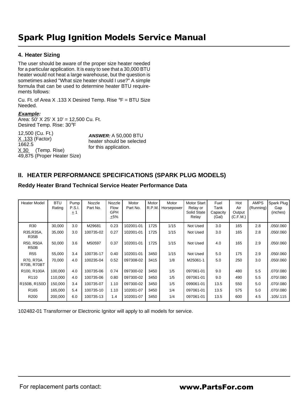### **4. Heater Sizing**

The user should be aware of the proper size heater needed for a particular application. It is easy to see that a 30,000 BTU heater would not heat a large warehouse, but the question is sometimes asked "What size heater should I use?" A simple formula that can be used to determine heater BTU requirements follows:

Cu. Ft. of Area X .133 X Desired Temp. Rise °F = BTU Size Needed.

#### **Example:**

Area: 50' X 25' X 10' = 12,500 Cu. Ft. Desired Temp. Rise: 30°F

12,500 (Cu. Ft.) X .133 (Factor) 1662.5 X 30 (Temp. Rise) 49,875 (Proper Heater Size) **ANSWER:** A 50,000 BTU heater should be selected for this application.

# **II. HEATER PERFORMANCE SPECIFICATIONS (SPARK PLUG MODELS)**

### **Reddy Heater Brand Technical Service Heater Performance Data**

| <b>Heater Model</b>             | <b>BTU</b><br>Rating | Pump<br><b>P.S.I.</b><br>$+1$ | Nozzle<br>Part No. | Nozzle<br>Flow<br><b>GPH</b><br>±5% | Motor<br>Part No. | Motor<br>R.P.M. | Motor<br>Horsepower | Motor Start<br>Relay or<br>Solid State<br>Relay | Fuel<br>Tank<br>Capacity<br>(Gal) | Hot<br>Air<br>Output<br>(C.F.M.) | <b>AMPS</b><br>(Running) | Spark Plug<br>Gap<br>(inches) |
|---------------------------------|----------------------|-------------------------------|--------------------|-------------------------------------|-------------------|-----------------|---------------------|-------------------------------------------------|-----------------------------------|----------------------------------|--------------------------|-------------------------------|
| R30                             | 30,000               | 3.0                           | M29681             | 0.23                                | 102001-01         | 1725            | 1/15                | Not Used                                        | 3.0                               | 165                              | 2.8                      | .050/.060                     |
| R35, R35A,<br><b>R35B</b>       | 35,000               | 3.0                           | 100735-02          | 0.27                                | 102001-01         | 1725            | 1/15                | Not Used                                        | 3.0                               | 165                              | 2.8                      | .050/.060                     |
| R50, R50A<br>R <sub>50</sub> B  | 50,000               | 3.6                           | M50597             | 0.37                                | 102001-01         | 1725            | 1/15                | Not Used                                        | 4.0                               | 165                              | 2.9                      | .050/.060                     |
| <b>R55</b>                      | 55,000               | 3.4                           | 100735-17          | 0.40                                | 102001-01         | 3450            | 1/15                | Not Used                                        | 5.0                               | 175                              | 2.9                      | .050/.060                     |
| R70, R70A<br><b>R70B, R70BT</b> | 70,000               | 4.0                           | 100235-04          | 0.52                                | 097308-02         | 3415            | 1/8                 | M25061-1                                        | 5.0                               | 250                              | 3.0                      | .050/.060                     |
| R100, R100A                     | 100,000              | 4.0                           | 100735-06          | 0.74                                | 097300-02         | 3450            | 1/5                 | 097061-01                                       | 9.0                               | 480                              | 5.5                      | .070/.080                     |
| R <sub>110</sub>                | 110,000              | 4.0                           | 100735-06          | 0.80                                | 097300-02         | 3450            | 1/5                 | 097061-01                                       | 9.0                               | 490                              | 5.5                      | .070/.080                     |
| R150B, R150D                    | 150,000              | 3.4                           | 100735-07          | 1.10                                | 097300-02         | 3450            | 1/5                 | 099061-01                                       | 13.5                              | 550                              | 5.0                      | .070/.080                     |
| R <sub>165</sub>                | 165,000              | 5.4                           | 100735-10          | 1.10                                | 102001-07         | 3450            | 1/4                 | 097061-01                                       | 13.5                              | 575                              | 5.0                      | .070/.080                     |
| R <sub>200</sub>                | 200,000              | 6.0                           | 100735-13          | 1.4                                 | 102001-07         | 3450            | 1/4                 | 097061-01                                       | 13.5                              | 600                              | 4.5                      | .105/.115                     |

102482-01 Transformer or Electronic Ignitor will apply to all models for service.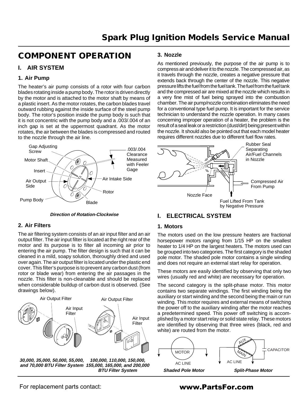# **COMPONENT OPERATION**

# **I. AIR SYSTEM**

#### **1. Air Pump**

The heater's air pump consists of a rotor with four carbon blades rotating inside a pump body. The rotor is driven directly by the motor and is attached to the motor shaft by means of a plastic insert. As the motor rotates, the carbon blades travel outward rubbing against the inside surface of the steel pump body. The rotor's position inside the pump body is such that it is not concentric with the pump body and a .003/.004 of an inch gap is set at the uppermost quadrant. As the motor rotates, the air between the blades is compressed and routed to the nozzle through the air line.



#### **Direction of Rotation-Clockwise**

#### **2. Air Filters**

The air filtering system consists of an air input filter and an air output filter. The air input filter is located at the right rear of the motor and its purpose is to filter all incoming air prior to entering the air pump. The filter design is such that it can be cleaned in a mild, soapy solution, thoroughly dried and used over again. The air output filter is located under the plastic end cover. This filter's purpose is to prevent any carbon dust (from rotor or blade wear) from entering the air passages in the nozzle. This filter is non-cleanable and should be replaced when considerable buildup of carbon dust is observed. (See drawings below).



**30,000, 35,000, 50,000, 55,000, and 70,000 BTU Filter System 155,000, 165,000, and 200,000 100,000, 110,000, 150,000, BTU Filter System**

#### **3. Nozzle**

As mentioned previously, the purpose of the air pump is to compress air and deliver it to the nozzle. The compressed air, as it travels through the nozzle, creates a negative pressure that extends back through the center of the nozzle. This negative pressure lifts the fuel from the fuel tank. The fuel from the fuel tank and the compressed air are mixed at the nozzle which results in a very fine mist of fuel being sprayed into the combustion chamber. The air pump/nozzle combination eliminates the need for a conventional type fuel pump. It is important for the service technician to understand the nozzle operation. In many cases concerning improper operation of a heater, the problem is the result of a seal leak or a restriction (dust/dirt) being present within the nozzle. It should also be pointed out that each model heater requires different nozzles due to different fuel flow rates.



# **I. ELECTRICAL SYSTEM**

#### **1. Motors**

The motors used on the low pressure heaters are fractional horsepower motors ranging from 1/15 HP on the smallest heater to 1/4 HP on the largest heaters. The motors used can be grouped into two categories. The first category is the shaded pole motor. The shaded pole motor contains a single winding and does not require an external start relay for operation.

These motors are easily identified by observing that only two wires (usually red and white) are necessary for operation.

The second category is the split-phase motor. This motor contains two separate windings. The first winding being the auxiliary or start winding and the second being the main or run winding. This motor requires and external means of switching the power off to the auxiliary winding after the motor reaches a predetermined speed. This power off switching is accomplished by a motor start relay or solid state relay. These motors are identified by observing that three wires (black, red and white) are routed from the motor.



For replacement parts contact: www.PartsFor.com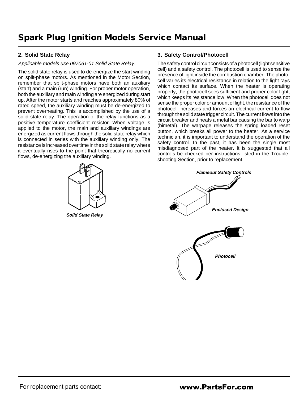### **2. Solid State Relay**

#### Applicable models use 097061-01 Solid State Relay.

The solid state relay is used to de-energize the start winding on split-phase motors. As mentioned in the Motor Section, remember that split-phase motors have both an auxiliary (start) and a main (run) winding. For proper motor operation, both the auxiliary and main winding are energized during start up. After the motor starts and reaches approximately 80% of rated speed, the auxiliary winding must be de-energized to prevent overheating. This is accomplished by the use of a solid state relay. The operation of the relay functions as a positive temperature coefficient resistor. When voltage is applied to the motor, the main and auxiliary windings are energized as current flows through the solid state relay which is connected in series with the auxiliary winding only. The resistance is increased over time in the solid state relay where it eventually rises to the point that theoretically no current flows, de-energizing the auxiliary winding.



**Solid State Relay**

#### **3. Safety Control/Photocell**

The safety control circuit consists of a photocell (light sensitive cell) and a safety control. The photocell is used to sense the presence of light inside the combustion chamber. The photocell varies its electrical resistance in relation to the light rays which contact its surface. When the heater is operating properly, the photocell sees sufficient and proper color light, which keeps its resistance low. When the photocell does not sense the proper color or amount of light, the resistance of the photocell increases and forces an electrical current to flow through the solid state trigger circuit. The current flows into the circuit breaker and heats a metal bar causing the bar to warp (bimetal). The warpage releases the spring loaded reset button, which breaks all power to the heater. As a service technician, it is important to understand the operation of the safety control. In the past, it has been the single most misdiagnosed part of the heater. It is suggested that all controls be checked per instructions listed in the Troubleshooting Section, prior to replacement.

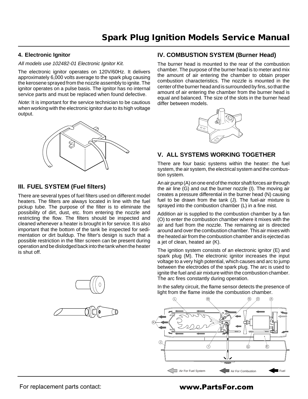#### **4. Electronic Ignitor**

#### All models use 102482-01 Electronic Ignitor Kit.

The electronic ignitor operates on 120V/60Hz. It delivers approximately 6,000 volts average to the spark plug causing the kerosene sprayed from the nozzle assembly to ignite. The ignitor operates on a pulse basis. The ignitor has no internal service parts and must be replaced when found defective.

Note: It is important for the service technician to be cautious when working with the electronic ignitor due to its high voltage output.



### **III. FUEL SYSTEM (Fuel filters)**

There are several types of fuel filters used on different model heaters. The filters are always located in line with the fuel pickup tube. The purpose of the filter is to eliminate the possibility of dirt, dust, etc. from entering the nozzle and restricting the flow. The filters should be inspected and cleaned whenever a heater is brought in for service. It is also important that the bottom of the tank be inspected for sedimentation or dirt buildup. The filter's design is such that a possible restriction in the filter screen can be present during operation and be dislodged back into the tank when the heater is shut off.



### **IV. COMBUSTION SYSTEM (Burner Head)**

The burner head is mounted to the rear of the combustion chamber. The purpose of the burner head is to meter and mix the amount of air entering the chamber to obtain proper combustion characteristics. The nozzle is mounted in the center of the burner head and is surrounded by fins, so that the amount of air entering the chamber from the burner head is equal and balanced. The size of the slots in the burner head differ between models.



# **V. ALL SYSTEMS WORKING TOGETHER**

There are four basic systems within the heater: the fuel system, the air system, the electrical system and the combustion system.

An air pump (A) on one end of the motor shaft forces air through the air line (G) and out the burner nozzle (I). The moving air creates a pressure differential in the burner head (N) causing fuel to be drawn from the tank (J). The fuel-air mixture is sprayed into the combustion chamber (L) in a fine mist.

Addition air is supplied to the combustion chamber by a fan (O) to enter the combustion chamber where it mixes with the air and fuel from the nozzle. The remaining air is directed around and over the combustion chamber. This air mixes with the heated air from the combustion chamber and is ejected as a jet of clean, heated air (K).

The ignition system consists of an electronic ignitor (E) and spark plug (M). The electronic ignitor increases the input voltage to a very high potential, which causes and arc to jump between the electrodes of the spark plug. The arc is used to ignite the fuel and air mixture within the combustion chamber. The arc fires constantly during operation.

In the safety circuit, the flame sensor detects the presence of light from the flame inside the combustion chamber.

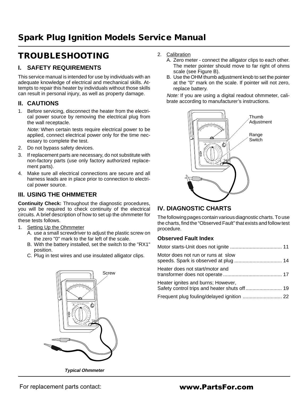# **TROUBLESHOOTING**

# **I. SAFETY REQUIREMENTS**

This service manual is intended for use by individuals with an adequate knowledge of electrical and mechanical skills. Attempts to repair this heater by individuals without those skills can result in personal injury, as well as property damage.

# **II. CAUTIONS**

1. Before servicing, disconnect the heater from the electrical power source by removing the electrical plug from the wall receptacle.

Note: When certain tests require electrical power to be applied, connect electrical power only for the time necessary to complete the test.

- 2. Do not bypass safety devices.
- 3. If replacement parts are necessary, do not substitute with non-factory parts (use only factory authorized replacement parts).
- 4. Make sure all electrical connections are secure and all harness leads are in place prior to connection to electrical power source.

# **III. USING THE OHMMETER**

**Continuity Check:** Throughout the diagnostic procedures, you will be required to check continuity of the electrical circuits. A brief description of how to set up the ohmmeter for these tests follows.

- 1. Setting Up the Ohmmeter
	- A. use a small screwdriver to adjust the plastic screw on the zero "0" mark to the far left of the scale.
	- B. With the battery installed, set the switch to the "RX1" position.
	- C. Plug in test wires and use insulated alligator clips.



**Typical Ohmmeter**

- 2. Calibration
	- A. Zero meter connect the alligator clips to each other. The meter pointer should move to far right of ohms scale (see Figure B).
	- B. Use the OHM thumb adjustment knob to set the pointer at the "0" mark on the scale. If pointer will not zero, replace battery.

Note: If you are using a digital readout ohmmeter, calibrate according to manufacturer's instructions.



# **IV. DIAGNOSTIC CHARTS**

The following pages contain various diagnostic charts. To use the charts, find the "Observed Fault" that exists and follow test procedure.

### **Observed Fault Index**

| Motor does not run or runs at slow |  |
|------------------------------------|--|
| Heater does not start/motor and    |  |
| Heater ignites and burns; However, |  |
|                                    |  |

For replacement parts contact:

# www.PartsFor.com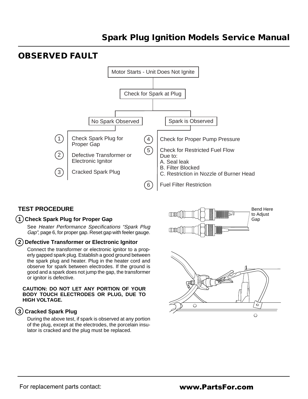# **OBSERVED FAULT**



# **TEST PROCEDURE**

#### **1 Check Spark Plug for Proper Gap**

See Heater Performance Specifications "Spark Plug Gap", page 6, for proper gap. Reset gap with feeler gauge.

#### **2 Defective Transformer or Electronic Ignitor**

Connect the transformer or electronic ignitor to a properly gapped spark plug. Establish a good ground between the spark plug and heater. Plug in the heater cord and observe for spark between electrodes. If the ground is good and a spark does not jump the gap, the transformer or ignitor is defective.

#### **CAUTION: DO NOT LET ANY PORTION OF YOUR BODY TOUCH ELECTRODES OR PLUG, DUE TO HIGH VOLTAGE.**

### **3 Cracked Spark Plug**

During the above test, if spark is observed at any portion of the plug, except at the electrodes, the porcelain insulator is cracked and the plug must be replaced.

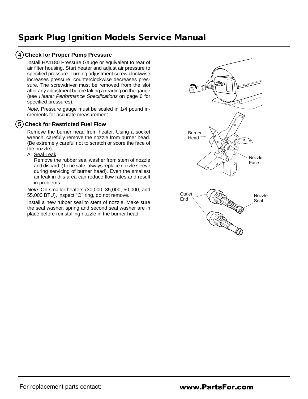# **4 Check for Proper Pump Pressure**

Install HA1180 Pressure Gauge or equivalent to rear of air filter housing. Start heater and adjust air pressure to specified pressure. Turning adjustment screw clockwise increases pressure, counterclockwise decreases pressure. The screwdriver must be removed from the slot after any adjustment before taking a reading on the gauge (see Heater Performance Specifications on page 6 for specified pressures).

Note: Pressure gauge must be scaled in 1/4 pound increments for accurate measurement.

# **5 Check for Restricted Fuel Flow**

Remove the burner head from heater. Using a socket wrench, carefully remove the nozzle from burner head. (Be extremely careful not to scratch or score the face of the nozzle).

A. Seal Leak

Remove the rubber seal washer from stem of nozzle and discard. (To be safe, always replace nozzle sleeve during servicing of burner head). Even the smallest air leak in this area can reduce flow rates and result in problems.

Note: On smaller heaters (30,000, 35,000, 50,000, and 55,000 BTU), inspect "O" ring, do not remove.

Install a new rubber seal to stem of nozzle. Make sure the seal washer, spring and second seal washer are in place before reinstalling nozzle in the burner head.

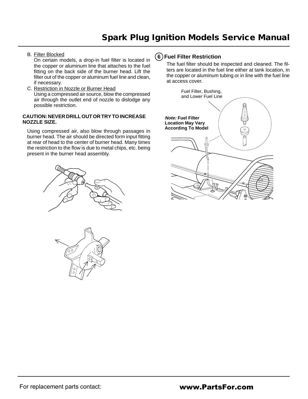B. Filter Blocked

On certain models, a drop-in fuel filter is located in the copper or aluminum line that attaches to the fuel fitting on the back side of the burner head. Lift the filter out of the copper or aluminum fuel line and clean, if necessary.

C. Restriction in Nozzle or Burner Head Using a compressed air source, blow the compressed air through the outlet end of nozzle to dislodge any possible restriction.

#### **CAUTION: NEVER DRILL OUT OR TRY TO INCREASE NOZZLE SIZE.**

Using compressed air, also blow through passages in burner head. The air should be directed form input fitting at rear of head to the center of burner head. Many times the restriction to the flow is due to metal chips, etc. being present in the burner head assembly.





# **6 Fuel Filter Restriction**

The fuel filter should be inspected and cleaned. The filters are located in the fuel line either at tank location, in the copper or aluminum tubing or in line with the fuel line at access cover.

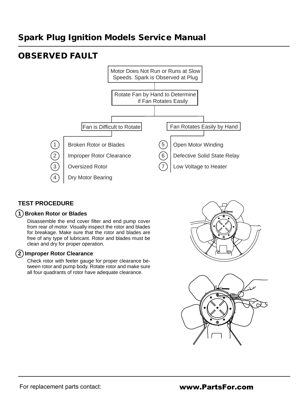# **OBSERVED FAULT**



# **TEST PROCEDURE**

### **1 Broken Rotor or Blades**

Disassemble the end cover filter and end pump cover from rear of motor. Visually inspect the rotor and blades for breakage. Make sure that the rotor and blades are free of any type of lubricant. Rotor and blades must be clean and dry for proper operation.

#### **2 Improper Rotor Clearance**

Check rotor with feeler gauge for proper clearance between rotor and pump body. Rotate rotor and make sure all four quadrants of rotor have adequate clearance.



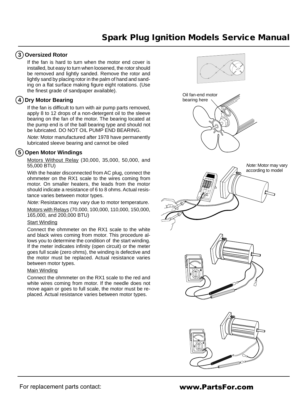### **3 Oversized Rotor**

If the fan is hard to turn when the motor end cover is installed, but easy to turn when loosened, the rotor should be removed and lightly sanded. Remove the rotor and lightly sand by placing rotor in the palm of hand and sanding on a flat surface making figure eight rotations. (Use the finest grade of sandpaper available).

# **4 Dry Motor Bearing**

If the fan is difficult to turn with air pump parts removed, apply 8 to 12 drops of a non-detergent oil to the sleeve bearing on the fan of the motor. The bearing located at the pump end is of the ball bearing type and should not be lubricated. DO NOT OIL PUMP END BEARING.

Note: Motor manufactured after 1978 have permanently lubricated sleeve bearing and cannot be oiled

### **5 Open Motor Windings**

Motors Without Relay (30,000, 35,000, 50,000, and 55,000 BTU)

With the heater disconnected from AC plug, connect the ohmmeter on the RX1 scale to the wires coming from motor. On smaller heaters, the leads from the motor should indicate a resistance of 6 to 8 ohms. Actual resistance varies between motor types.

Note: Resistances may vary due to motor temperature.

Motors with Relays (70,000, 100,000, 110,000, 150,000, 165,000, and 200,000 BTU)

#### Start Winding

Connect the ohmmeter on the RX1 scale to the white and black wires coming from motor. This procedure allows you to determine the condition of the start winding. If the meter indicates infinity (open circuit) or the meter goes full scale (zero ohms), the winding is defective and the motor must be replaced. Actual resistance varies between motor types.

#### Main Winding

Connect the ohmmeter on the RX1 scale to the red and white wires coming from motor. If the needle does not move again or goes to full scale, the motor must be replaced. Actual resistance varies between motor types.



# www.PartsFor.com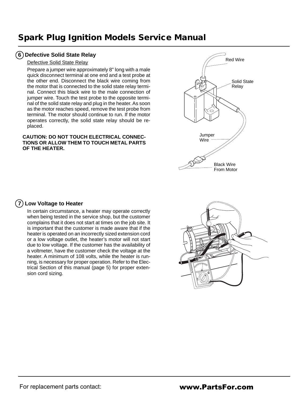### **6 Defective Solid State Relay**

#### Defective Solid State Relay

Prepare a jumper wire approximately 8" long with a male quick disconnect terminal at one end and a test probe at the other end. Disconnect the black wire coming from the motor that is connected to the solid state relay terminal. Connect this black wire to the male connection of jumper wire. Touch the test probe to the opposite terminal of the solid state relay and plug in the heater. As soon as the motor reaches speed, remove the test probe from terminal. The motor should continue to run. If the motor operates correctly, the solid state relay should be replaced.

#### **CAUTION: DO NOT TOUCH ELECTRICAL CONNEC-TIONS OR ALLOW THEM TO TOUCH METAL PARTS OF THE HEATER.**



### **7 Low Voltage to Heater**

In certain circumstance, a heater may operate correctly when being tested in the service shop, but the customer complains that it does not start at times on the job site. It is important that the customer is made aware that if the heater is operated on an incorrectly sized extension cord or a low voltage outlet, the heater's motor will not start due to low voltage. If the customer has the availability of a voltmeter, have the customer check the voltage at the heater. A minimum of 108 volts, while the heater is running, is necessary for proper operation. Refer to the Electrical Section of this manual (page 5) for proper extension cord sizing.

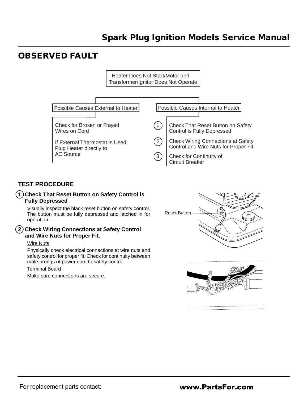# **OBSERVED FAULT**



# **TEST PROCEDURE**

### **1 Check That Reset Button on Safety Control is Fully Depressed**

Visually inspect the black reset button on safety control. The button must be fully depressed and latched in for operation.

#### **2 Check Wiring Connections at Safety Control and Wire Nuts for Proper Fit.**

#### Wire Nuts

Physically check electrical connections at wire nuts and safety control for proper fit. Check for continuity between male prongs of power cord to safety control.

#### Terminal Board

Make sure connections are secure.



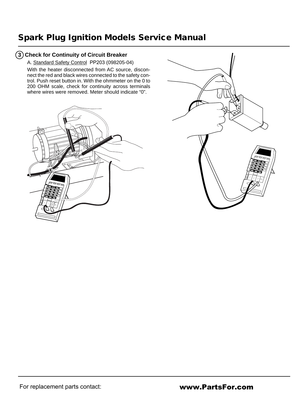# **3 Check for Continuity of Circuit Breaker**

A. Standard Safety Control PP203 (098205-04)

With the heater disconnected from AC source, disconnect the red and black wires connected to the safety control. Push reset button in. With the ohmmeter on the 0 to 200 OHM scale, check for continuity across terminals where wires were removed. Meter should indicate "0".



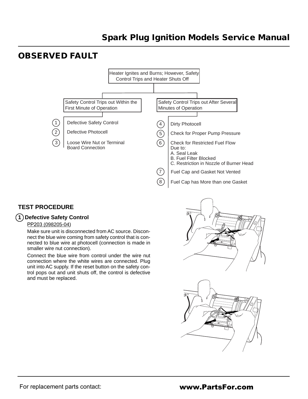# **OBSERVED FAULT**



# **TEST PROCEDURE**

### **1 Defective Safety Control**

#### PP203 (098205-04)

Make sure unit is disconnected from AC source. Disconnect the blue wire coming from safety control that is connected to blue wire at photocell (connection is made in smaller wire nut connection).

Connect the blue wire from control under the wire nut connection where the white wires are connected. Plug unit into AC supply. If the reset button on the safety control pops out and unit shuts off, the control is defective and must be replaced.



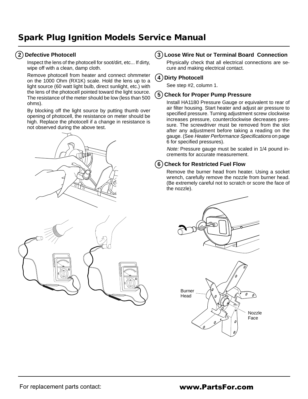# **2 Defective Photocell**

Inspect the lens of the photocell for soot/dirt, etc... If dirty, wipe off with a clean, damp cloth.

Remove photocell from heater and connect ohmmeter on the 1000 Ohm (RX1K) scale. Hold the lens up to a light source (60 watt light bulb, direct sunlight, etc.) with the lens of the photocell pointed toward the light source. The resistance of the meter should be low (less than 500 ohms).

By blocking off the light source by putting thumb over opening of photocell, the resistance on meter should be high. Replace the photocell if a change in resistance is not observed during the above test.





# **3 Loose Wire Nut or Terminal Board Connection**

Physically check that all electrical connections are secure and making electrical contact.

### **4 Dirty Photocell**

See step #2, column 1.

### **5 Check for Proper Pump Pressure**

Install HA1180 Pressure Gauge or equivalent to rear of air filter housing. Start heater and adjust air pressure to specified pressure. Turning adjustment screw clockwise increases pressure, counterclockwise decreases pressure. The screwdriver must be removed from the slot after any adjustment before taking a reading on the gauge. (See Heater Performance Specifications on page 6 for specified pressures).

Note: Pressure gauge must be scaled in 1/4 pound increments for accurate measurement.

# **6 Check for Restricted Fuel Flow**

Remove the burner head from heater. Using a socket wrench, carefully remove the nozzle from burner head. (Be extremely careful not to scratch or score the face of the nozzle).

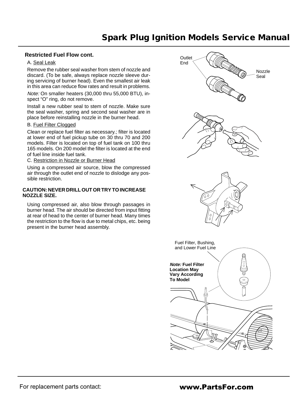#### **Restricted Fuel Flow cont.**

#### A. Seal Leak

Remove the rubber seal washer from stem of nozzle and discard. (To be safe, always replace nozzle sleeve during servicing of burner head). Even the smallest air leak in this area can reduce flow rates and result in problems.

Note: On smaller heaters (30,000 thru 55,000 BTU), inspect "O" ring, do not remove.

Install a new rubber seal to stem of nozzle. Make sure the seal washer, spring and second seal washer are in place before reinstalling nozzle in the burner head.

### B. Fuel Filter Clogged

Clean or replace fuel filter as necessary.; filter is located at lower end of fuel pickup tube on 30 thru 70 and 200 models. Filter is located on top of fuel tank on 100 thru 165 models. On 200 model the filter is located at the end of fuel line inside fuel tank.

C. Restriction in Nozzle or Burner Head

Using a compressed air source, blow the compressed air through the outlet end of nozzle to dislodge any possible restriction.

#### **CAUTION: NEVER DRILL OUT OR TRY TO INCREASE NOZZLE SIZE.**

Using compressed air, also blow through passages in burner head. The air should be directed from input fitting at rear of head to the center of burner head. Many times the restriction to the flow is due to metal chips, etc. being present in the burner head assembly.

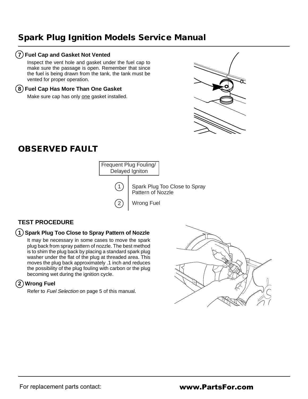### **7 Fuel Cap and Gasket Not Vented**

Inspect the vent hole and gasket under the fuel cap to make sure the passage is open. Remember that since the fuel is being drawn from the tank, the tank must be vented for proper operation.

#### **8 Fuel Cap Has More Than One Gasket**

Make sure cap has only one gasket installed.



# **OBSERVED FAULT**



Spark Plug Too Close to Spray Pattern of Nozzle

# **TEST PROCEDURE**

### **1 Spark Plug Too Close to Spray Pattern of Nozzle**

It may be necessary in some cases to move the spark plug back from spray pattern of nozzle. The best method is to shim the plug back by placing a standard spark plug washer under the flat of the plug at threaded area. This moves the plug back approximately .1 inch and reduces the possibility of the plug fouling with carbon or the plug becoming wet during the ignition cycle.

# **2 Wrong Fuel**

Refer to Fuel Selection on page 5 of this manual.

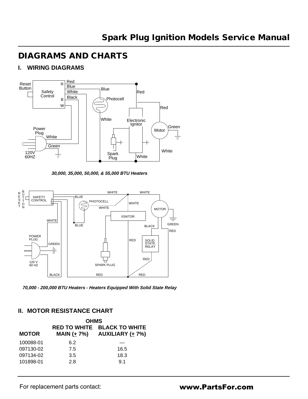# **DIAGRAMS AND CHARTS**

# **I. WIRING DIAGRAMS**



**30,000, 35,000, 50,000, & 55,000 BTU Heaters**



**70,000 - 200,000 BTU Heaters - Heaters Equipped With Solid State Relay**

# **II. MOTOR RESISTANCE CHART**

| <b>OHMS</b> |                                                                                     |  |  |  |  |  |
|-------------|-------------------------------------------------------------------------------------|--|--|--|--|--|
|             | <b>RED TO WHITE BLACK TO WHITE</b><br><b>MAIN (</b> $\pm$ 7%) AUXILIARY ( $\pm$ 7%) |  |  |  |  |  |
| 6.2         |                                                                                     |  |  |  |  |  |
| 7.5         | 16.5                                                                                |  |  |  |  |  |
| 3.5         | 18.3                                                                                |  |  |  |  |  |
| 2.8         | 9.1                                                                                 |  |  |  |  |  |
|             |                                                                                     |  |  |  |  |  |

For replacement parts contact: **www.PartsFor.com**